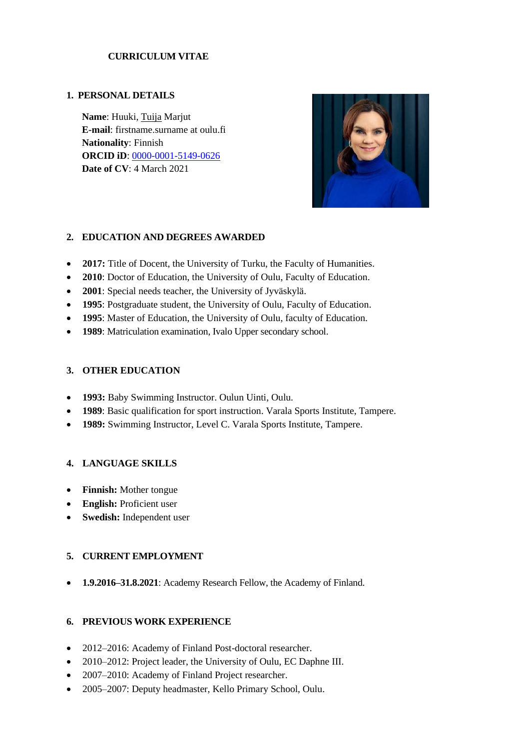## **CURRICULUM VITAE**

#### **1. PERSONAL DETAILS**

**Name**: Huuki, Tuija Marjut **E-mail**: firstname.surname at oulu.fi **Nationality**: Finnish **ORCID iD**: [0000-0001-5149-0626](https://orcid.org/0000-0001-5149-0626) **Date of CV**: 4 March 2021



### **2. EDUCATION AND DEGREES AWARDED**

- **2017:** Title of Docent, the University of Turku, the Faculty of Humanities.
- **2010**: Doctor of Education, the University of Oulu, Faculty of Education.
- **2001**: Special needs teacher, the University of Jyväskylä.
- **1995**: Postgraduate student, the University of Oulu, Faculty of Education.
- **1995**: Master of Education, the University of Oulu, faculty of Education.
- **1989**: Matriculation examination, Ivalo Upper secondary school.

### **3. OTHER EDUCATION**

- **1993:** Baby Swimming Instructor. Oulun Uinti, Oulu.
- **1989**: Basic qualification for sport instruction. Varala Sports Institute, Tampere.
- **1989:** Swimming Instructor, Level C. Varala Sports Institute, Tampere.

### **4. LANGUAGE SKILLS**

- **Finnish:** Mother tongue
- **English:** Proficient user
- **Swedish:** Independent user

# **5. CURRENT EMPLOYMENT**

• **1.9.2016–31.8.2021**: Academy Research Fellow, the Academy of Finland.

### **6. PREVIOUS WORK EXPERIENCE**

- 2012–2016: Academy of Finland Post-doctoral researcher.
- 2010–2012: Project leader, the University of Oulu, EC Daphne III.
- 2007–2010: Academy of Finland Project researcher.
- 2005–2007: Deputy headmaster, Kello Primary School, Oulu.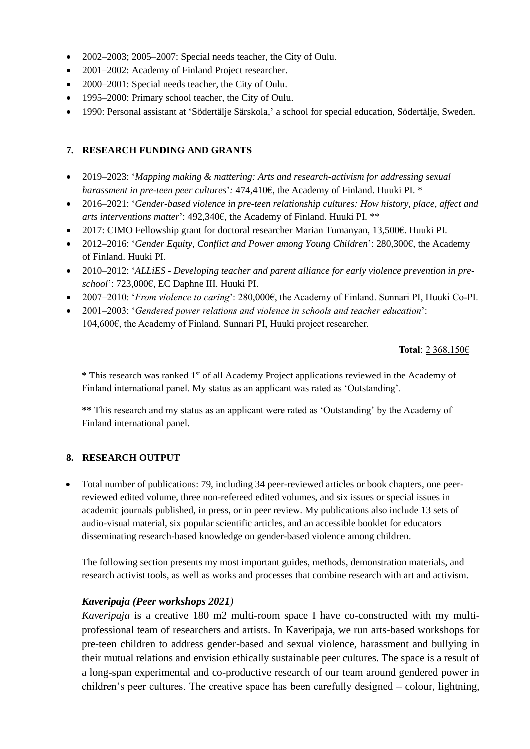- 2002–2003: 2005–2007: Special needs teacher, the City of Oulu.
- 2001–2002: Academy of Finland Project researcher.
- 2000–2001: Special needs teacher, the City of Oulu.
- 1995–2000: Primary school teacher, the City of Oulu.
- 1990: Personal assistant at 'Södertälje Särskola,' a school for special education, Södertälje, Sweden.

## **7. RESEARCH FUNDING AND GRANTS**

- 2019–2023: '*Mapping making & mattering: Arts and research-activism for addressing sexual harassment in pre-teen peer cultures*'*:* 474,410€, the Academy of Finland. Huuki PI. \*
- 2016–2021: '*Gender-based violence in pre-teen relationship cultures: How history, place, affect and arts interventions matter*': 492,340€, the Academy of Finland. Huuki PI. \*\*
- 2017: CIMO Fellowship grant for doctoral researcher Marian Tumanyan, 13,500€. Huuki PI.
- 2012–2016: '*Gender Equity, Conflict and Power among Young Children*': 280,300€, the Academy of Finland. Huuki PI.
- 2010–2012: '*ALLiES - Developing teacher and parent alliance for early violence prevention in preschool*': 723,000€, EC Daphne III. Huuki PI.
- 2007–2010: '*From violence to caring*': 280,000€, the Academy of Finland. Sunnari PI, Huuki Co-PI.
- 2001–2003: '*Gendered power relations and violence in schools and teacher education*': 104,600€, the Academy of Finland. Sunnari PI, Huuki project researcher.

#### **Total**: 2 368,150€

**\*** This research was ranked 1st of all Academy Project applications reviewed in the Academy of Finland international panel. My status as an applicant was rated as 'Outstanding'.

**\*\*** This research and my status as an applicant were rated as 'Outstanding' by the Academy of Finland international panel.

### **8. RESEARCH OUTPUT**

• Total number of publications: 79, including 34 peer-reviewed articles or book chapters, one peerreviewed edited volume, three non-refereed edited volumes, and six issues or special issues in academic journals published, in press, or in peer review. My publications also include 13 sets of audio-visual material, six popular scientific articles, and an accessible booklet for educators disseminating research-based knowledge on gender-based violence among children.

The following section presents my most important guides, methods, demonstration materials, and research activist tools, as well as works and processes that combine research with art and activism.

### *Kaveripaja (Peer workshops 2021)*

*Kaveripaja* is a creative 180 m2 multi-room space I have co-constructed with my multiprofessional team of researchers and artists. In Kaveripaja, we run arts-based workshops for pre-teen children to address gender-based and sexual violence, harassment and bullying in their mutual relations and envision ethically sustainable peer cultures. The space is a result of a long-span experimental and co-productive research of our team around gendered power in children's peer cultures. The creative space has been carefully designed – colour, lightning,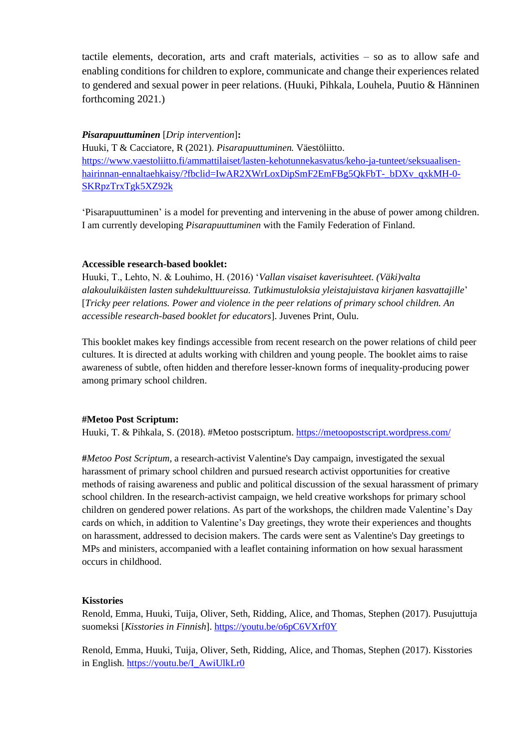tactile elements, decoration, arts and craft materials, activities – so as to allow safe and enabling conditions for children to explore, communicate and change their experiences related to gendered and sexual power in peer relations. (Huuki, Pihkala, Louhela, Puutio & Hänninen forthcoming 2021.)

#### *Pisarapuuttuminen* [*Drip intervention*]**:**

Huuki, T & Cacciatore, R (2021). *Pisarapuuttuminen.* Väestöliitto. [https://www.vaestoliitto.fi/ammattilaiset/lasten-kehotunnekasvatus/keho-ja-tunteet/seksuaalisen](https://www.vaestoliitto.fi/ammattilaiset/lasten-kehotunnekasvatus/keho-ja-tunteet/seksuaalisen-hairinnan-ennaltaehkaisy/?fbclid=IwAR2XWrLoxDipSmF2EmFBg5QkFbT-_bDXv_qxkMH-0-SKRpzTrxTgk5XZ92k)[hairinnan-ennaltaehkaisy/?fbclid=IwAR2XWrLoxDipSmF2EmFBg5QkFbT-\\_bDXv\\_qxkMH-0-](https://www.vaestoliitto.fi/ammattilaiset/lasten-kehotunnekasvatus/keho-ja-tunteet/seksuaalisen-hairinnan-ennaltaehkaisy/?fbclid=IwAR2XWrLoxDipSmF2EmFBg5QkFbT-_bDXv_qxkMH-0-SKRpzTrxTgk5XZ92k) [SKRpzTrxTgk5XZ92k](https://www.vaestoliitto.fi/ammattilaiset/lasten-kehotunnekasvatus/keho-ja-tunteet/seksuaalisen-hairinnan-ennaltaehkaisy/?fbclid=IwAR2XWrLoxDipSmF2EmFBg5QkFbT-_bDXv_qxkMH-0-SKRpzTrxTgk5XZ92k)

'Pisarapuuttuminen' is a model for preventing and intervening in the abuse of power among children. I am currently developing *Pisarapuuttuminen* with the Family Federation of Finland.

#### **Accessible research-based booklet:**

Huuki, T., Lehto, N. & Louhimo, H. (2016) '*Vallan visaiset kaverisuhteet. (Väki)valta alakouluikäisten lasten suhdekulttuureissa. Tutkimustuloksia yleistajuistava kirjanen kasvattajille*' [*Tricky peer relations. Power and violence in the peer relations of primary school children. An accessible research-based booklet for educators*]. Juvenes Print, Oulu.

This booklet makes key findings accessible from recent research on the power relations of child peer cultures. It is directed at adults working with children and young people. The booklet aims to raise awareness of subtle, often hidden and therefore lesser-known forms of inequality-producing power among primary school children.

#### **#Metoo Post Scriptum:**

Huuki, T. & Pihkala, S. (2018). #Metoo postscriptum.<https://metoopostscript.wordpress.com/>

**#***Metoo Post Scriptum*, a research-activist Valentine's Day campaign, investigated the sexual harassment of primary school children and pursued research activist opportunities for creative methods of raising awareness and public and political discussion of the sexual harassment of primary school children. In the research-activist campaign, we held creative workshops for primary school children on gendered power relations. As part of the workshops, the children made Valentine's Day cards on which, in addition to Valentine's Day greetings, they wrote their experiences and thoughts on harassment, addressed to decision makers. The cards were sent as Valentine's Day greetings to MPs and ministers, accompanied with a leaflet containing information on how sexual harassment occurs in childhood.

#### **Kisstories**

Renold, Emma, Huuki, Tuija, Oliver, Seth, Ridding, Alice, and Thomas, Stephen (2017). Pusujuttuja suomeksi [*Kisstories in Finnish*].<https://youtu.be/o6pC6VXrf0Y>

Renold, Emma, Huuki, Tuija, Oliver, Seth, Ridding, Alice, and Thomas, Stephen (2017). Kisstories in English. [https://youtu.be/I\\_AwiUlkLr0](https://youtu.be/I_AwiUlkLr0)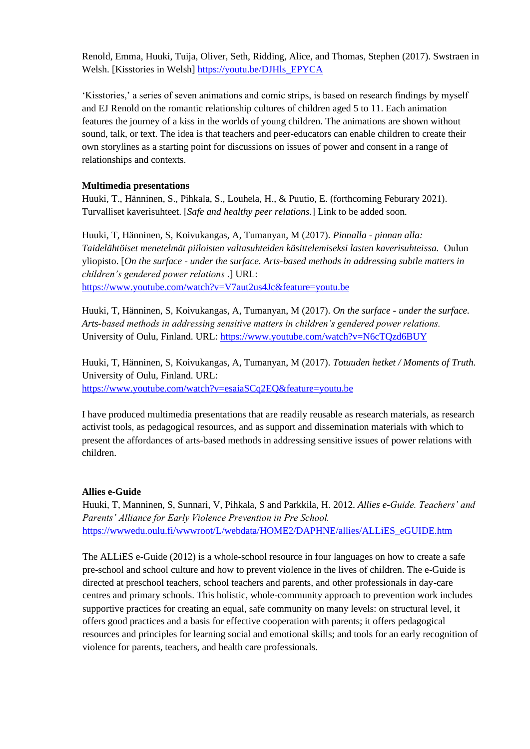Renold, Emma, Huuki, Tuija, Oliver, Seth, Ridding, Alice, and Thomas, Stephen (2017). Swstraen in Welsh. [Kisstories in Welsh] [https://youtu.be/DJHls\\_EPYCA](https://youtu.be/DJHls_EPYCA)

'Kisstories,' a series of seven animations and comic strips, is based on research findings by myself and EJ Renold on the romantic relationship cultures of children aged 5 to 11. Each animation features the journey of a kiss in the worlds of young children. The animations are shown without sound, talk, or text. The idea is that teachers and peer-educators can enable children to create their own storylines as a starting point for discussions on issues of power and consent in a range of relationships and contexts.

### **Multimedia presentations**

Huuki, T., Hänninen, S., Pihkala, S., Louhela, H., & Puutio, E. (forthcoming Feburary 2021). Turvalliset kaverisuhteet. [*Safe and healthy peer relations*.] Link to be added soon.

Huuki, T, Hänninen, S, Koivukangas, A, Tumanyan, M (2017). *Pinnalla - pinnan alla: Taidelähtöiset menetelmät piiloisten valtasuhteiden käsittelemiseksi lasten kaverisuhteissa.* Oulun yliopisto. [*On the surface - under the surface. Arts-based methods in addressing subtle matters in children's gendered power relations .*] URL: <https://www.youtube.com/watch?v=V7aut2us4Jc&feature=youtu.be>

Huuki, T, Hänninen, S, Koivukangas, A, Tumanyan, M (2017). *On the surface - under the surface. Arts-based methods in addressing sensitive matters in children's gendered power relations.* University of Oulu, Finland. URL:<https://www.youtube.com/watch?v=N6cTQzd6BUY>

Huuki, T, Hänninen, S, Koivukangas, A, Tumanyan, M (2017). *Totuuden hetket / Moments of Truth.* University of Oulu, Finland. URL: <https://www.youtube.com/watch?v=esaiaSCq2EQ&feature=youtu.be>

I have produced multimedia presentations that are readily reusable as research materials, as research activist tools, as pedagogical resources, and as support and dissemination materials with which to present the affordances of arts-based methods in addressing sensitive issues of power relations with children.

#### **Allies e-Guide**

Huuki, T, Manninen, S, Sunnari, V, Pihkala, S and Parkkila, H. 2012. *Allies e-Guide. Teachers' and Parents' Alliance for Early Violence Prevention in Pre School.*  [https://wwwedu.oulu.fi/wwwroot/L/webdata/HOME2/DAPHNE/allies/ALLiES\\_eGUIDE.htm](https://wwwedu.oulu.fi/wwwroot/L/webdata/HOME2/DAPHNE/allies/ALLiES_eGUIDE.htm)

The ALLiES e-Guide (2012) is a whole-school resource in four languages on how to create a safe pre-school and school culture and how to prevent violence in the lives of children. The e-Guide is directed at preschool teachers, school teachers and parents, and other professionals in day-care centres and primary schools. This holistic, whole-community approach to prevention work includes supportive practices for creating an equal, safe community on many levels: on structural level, it offers good practices and a basis for effective cooperation with parents; it offers pedagogical resources and principles for learning social and emotional skills; and tools for an early recognition of violence for parents, teachers, and health care professionals.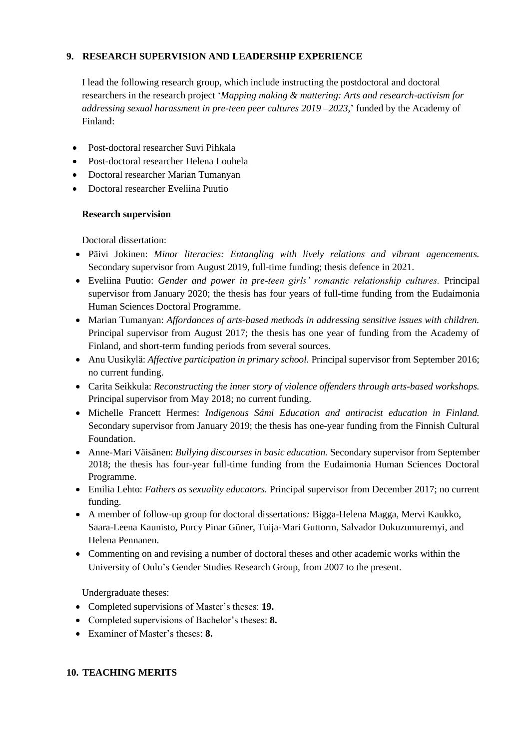## **9. RESEARCH SUPERVISION AND LEADERSHIP EXPERIENCE**

I lead the following research group, which include instructing the postdoctoral and doctoral researchers in the research project '*Mapping making & mattering: Arts and research-activism for addressing sexual harassment in pre-teen peer cultures 2019 –2023,*' funded by the Academy of Finland:

- Post-doctoral researcher Suvi Pihkala
- Post-doctoral researcher Helena Louhela
- Doctoral researcher Marian Tumanyan
- Doctoral researcher Eveliina Puutio

### **Research supervision**

Doctoral dissertation:

- Päivi Jokinen: *Minor literacies: Entangling with lively relations and vibrant agencements.* Secondary supervisor from August 2019, full-time funding; thesis defence in 2021.
- Eveliina Puutio: *Gender and power in pre-teen girls' romantic relationship cultures.* Principal supervisor from January 2020; the thesis has four years of full-time funding from the Eudaimonia Human Sciences Doctoral Programme.
- Marian Tumanyan: *Affordances of arts-based methods in addressing sensitive issues with children.* Principal supervisor from August 2017; the thesis has one year of funding from the Academy of Finland, and short-term funding periods from several sources.
- Anu Uusikylä: *Affective participation in primary school.* Principal supervisor from September 2016; no current funding.
- Carita Seikkula: *Reconstructing the inner story of violence offenders through arts-based workshops.* Principal supervisor from May 2018; no current funding.
- Michelle Francett Hermes: *Indigenous Sámi Education and antiracist education in Finland.* Secondary supervisor from January 2019; the thesis has one-year funding from the Finnish Cultural Foundation.
- Anne-Mari Väisänen: *Bullying discourses in basic education.* Secondary supervisor from September 2018; the thesis has four-year full-time funding from the Eudaimonia Human Sciences Doctoral Programme.
- Emilia Lehto: *Fathers as sexuality educators.* Principal supervisor from December 2017; no current funding.
- A member of follow-up group for doctoral dissertations*:* Bigga-Helena Magga, Mervi Kaukko, Saara-Leena Kaunisto, Purcy Pinar Güner, Tuija-Mari Guttorm, Salvador Dukuzumuremyi, and Helena Pennanen.
- Commenting on and revising a number of doctoral theses and other academic works within the University of Oulu's Gender Studies Research Group, from 2007 to the present.

Undergraduate theses:

- Completed supervisions of Master's theses: **19.**
- Completed supervisions of Bachelor's theses: **8.**
- Examiner of Master's theses: **8.**

### **10. TEACHING MERITS**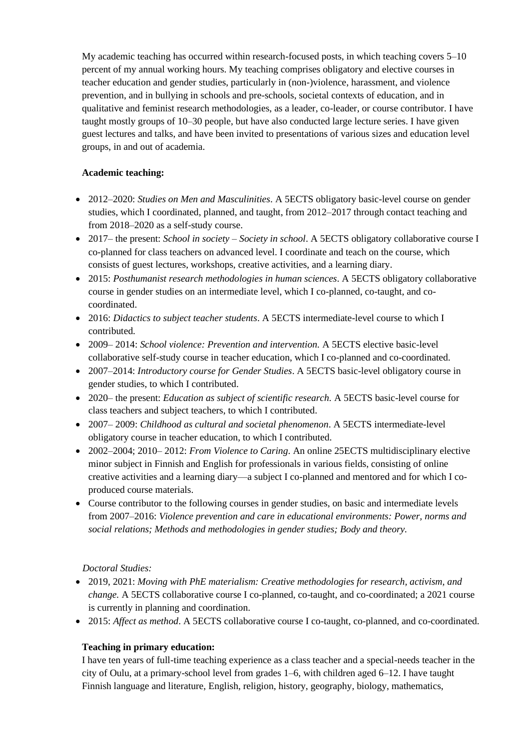My academic teaching has occurred within research-focused posts, in which teaching covers 5–10 percent of my annual working hours. My teaching comprises obligatory and elective courses in teacher education and gender studies, particularly in (non-)violence, harassment, and violence prevention, and in bullying in schools and pre-schools, societal contexts of education, and in qualitative and feminist research methodologies, as a leader, co-leader, or course contributor. I have taught mostly groups of 10–30 people, but have also conducted large lecture series. I have given guest lectures and talks, and have been invited to presentations of various sizes and education level groups, in and out of academia.

## **Academic teaching:**

- 2012–2020: *Studies on Men and Masculinities*. A 5ECTS obligatory basic-level course on gender studies, which I coordinated, planned, and taught, from 2012–2017 through contact teaching and from 2018–2020 as a self-study course.
- 2017– the present: *School in society – Society in school*. A 5ECTS obligatory collaborative course I co-planned for class teachers on advanced level. I coordinate and teach on the course, which consists of guest lectures, workshops, creative activities, and a learning diary.
- 2015: *Posthumanist research methodologies in human sciences*. A 5ECTS obligatory collaborative course in gender studies on an intermediate level, which I co-planned, co-taught, and cocoordinated.
- 2016: *Didactics to subject teacher students*. A 5ECTS intermediate-level course to which I contributed.
- 2009– 2014: *School violence: Prevention and intervention.* A 5ECTS elective basic-level collaborative self-study course in teacher education, which I co-planned and co-coordinated.
- 2007–2014: *Introductory course for Gender Studies*. A 5ECTS basic-level obligatory course in gender studies, to which I contributed.
- 2020– the present: *Education as subject of scientific research.* A 5ECTS basic-level course for class teachers and subject teachers, to which I contributed.
- 2007– 2009: *Childhood as cultural and societal phenomenon*. A 5ECTS intermediate-level obligatory course in teacher education, to which I contributed.
- 2002–2004; 2010– 2012: *From Violence to Caring*. An online 25ECTS multidisciplinary elective minor subject in Finnish and English for professionals in various fields, consisting of online creative activities and a learning diary—a subject I co-planned and mentored and for which I coproduced course materials.
- Course contributor to the following courses in gender studies, on basic and intermediate levels from 2007–2016: *Violence prevention and care in educational environments: Power, norms and social relations; Methods and methodologies in gender studies; Body and theory.*

### *Doctoral Studies:*

- 2019, 2021: *Moving with PhE materialism: Creative methodologies for research, activism, and change.* A 5ECTS collaborative course I co-planned, co-taught, and co-coordinated; a 2021 course is currently in planning and coordination.
- 2015: *Affect as method*. A 5ECTS collaborative course I co-taught, co-planned, and co-coordinated.

# **Teaching in primary education:**

I have ten years of full-time teaching experience as a class teacher and a special-needs teacher in the city of Oulu, at a primary-school level from grades 1–6, with children aged 6–12. I have taught Finnish language and literature, English, religion, history, geography, biology, mathematics,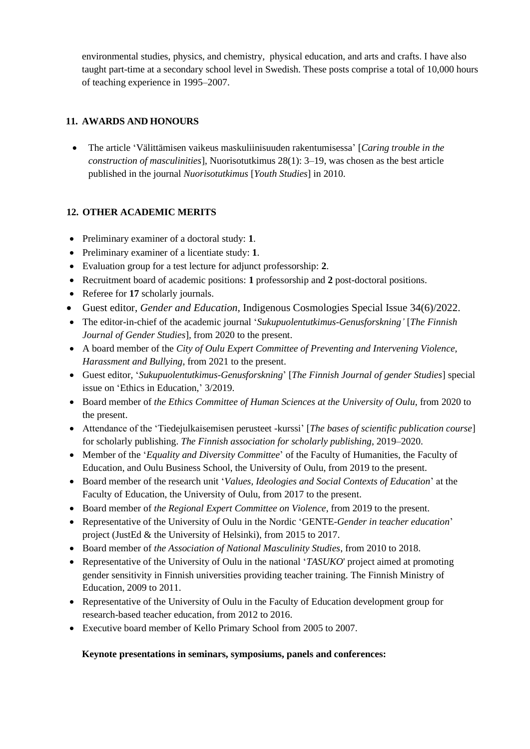environmental studies, physics, and chemistry, physical education, and arts and crafts. I have also taught part-time at a secondary school level in Swedish. These posts comprise a total of 10,000 hours of teaching experience in 1995–2007.

# **11. AWARDS AND HONOURS**

• The article 'Välittämisen vaikeus maskuliinisuuden rakentumisessa' [*Caring trouble in the construction of masculinities*], Nuorisotutkimus 28(1): 3–19, was chosen as the best article published in the journal *Nuorisotutkimus* [*Youth Studies*] in 2010.

# **12. OTHER ACADEMIC MERITS**

- Preliminary examiner of a doctoral study: **1**.
- Preliminary examiner of a licentiate study: **1**.
- Evaluation group for a test lecture for adjunct professorship: **2**.
- Recruitment board of academic positions: **1** professorship and **2** post-doctoral positions.
- Referee for **17** scholarly journals.
- Guest editor, *Gender and Education,* Indigenous Cosmologies Special Issue 34(6)/2022.
- The editor-in-chief of the academic journal '*Sukupuolentutkimus-Genusforskning'* [*The Finnish Journal of Gender Studies*]*,* from 2020 to the present.
- A board member of the *City of Oulu Expert Committee of Preventing and Intervening Violence, Harassment and Bullying*, from 2021 to the present.
- Guest editor, '*Sukupuolentutkimus-Genusforskning*' [*The Finnish Journal of gender Studies*] special issue on 'Ethics in Education,' 3/2019.
- Board member of *the Ethics Committee of Human Sciences at the University of Oulu*, from 2020 to the present.
- Attendance of the 'Tiedejulkaisemisen perusteet -kurssi' [*The bases of scientific publication course*] for scholarly publishing. *The Finnish association for scholarly publishing*, 2019–2020.
- Member of the '*Equality and Diversity Committee*' of the Faculty of Humanities, the Faculty of Education, and Oulu Business School, the University of Oulu, from 2019 to the present.
- Board member of the research unit '*Values, Ideologies and Social Contexts of Education*' at the Faculty of Education, the University of Oulu, from 2017 to the present.
- Board member of *the Regional Expert Committee on Violence*, from 2019 to the present.
- Representative of the University of Oulu in the Nordic 'GENTE-*Gender in teacher education*' project (JustEd & the University of Helsinki), from 2015 to 2017.
- Board member of *the Association of National Masculinity Studies*, from 2010 to 2018.
- Representative of the University of Oulu in the national '*TASUKO*' project aimed at promoting gender sensitivity in Finnish universities providing teacher training. The Finnish Ministry of Education, 2009 to 2011.
- Representative of the University of Oulu in the Faculty of Education development group for research-based teacher education, from 2012 to 2016.
- Executive board member of Kello Primary School from 2005 to 2007.

### **Keynote presentations in seminars, symposiums, panels and conferences:**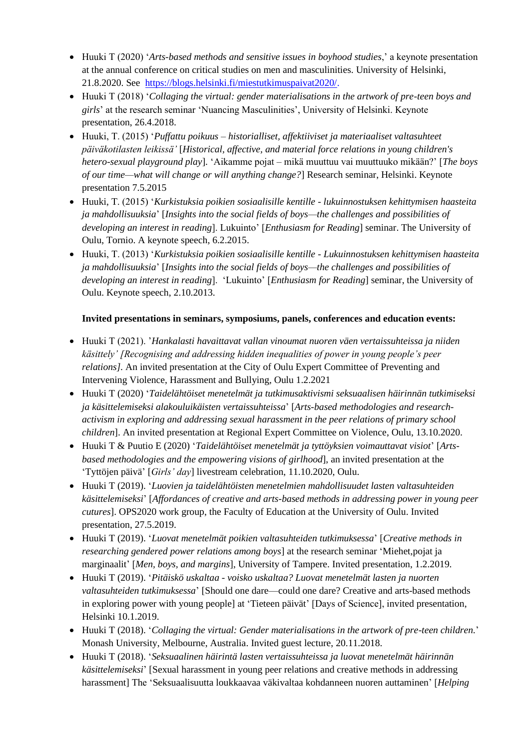- Huuki T (2020) '*Arts-based methods and sensitive issues in boyhood studies*,' a keynote presentation at the annual conference on critical studies on men and masculinities. University of Helsinki, 21.8.2020. See [https://blogs.helsinki.fi/miestutkimuspaivat2020/.](https://blogs.helsinki.fi/miestutkimuspaivat2020/)
- Huuki T (2018) '*Collaging the virtual: gender materialisations in the artwork of pre-teen boys and girls*' at the research seminar 'Nuancing Masculinities', University of Helsinki. Keynote presentation, 26.4.2018.
- Huuki, T. (2015) '*Puffattu poikuus – historialliset, affektiiviset ja materiaaliset valtasuhteet päiväkotilasten leikissä'* [*Historical, affective, and material force relations in young children's hetero-sexual playground play*]. 'Aikamme pojat – mikä muuttuu vai muuttuuko mikään?' [*The boys of our time—what will change or will anything change?*] Research seminar, Helsinki. Keynote presentation 7.5.2015
- Huuki, T. (2015) '*Kurkistuksia poikien sosiaalisille kentille - lukuinnostuksen kehittymisen haasteita ja mahdollisuuksia*' [*Insights into the social fields of boys—the challenges and possibilities of developing an interest in reading*]. Lukuinto' [*Enthusiasm for Reading*] seminar. The University of Oulu, Tornio. A keynote speech, 6.2.2015.
- Huuki, T. (2013) '*Kurkistuksia poikien sosiaalisille kentille - Lukuinnostuksen kehittymisen haasteita ja mahdollisuuksia*' [*Insights into the social fields of boys—the challenges and possibilities of developing an interest in reading*]. 'Lukuinto' [*Enthusiasm for Reading*] seminar, the University of Oulu. Keynote speech, 2.10.2013.

## **Invited presentations in seminars, symposiums, panels, conferences and education events:**

- Huuki T (2021). '*Hankalasti havaittavat vallan vinoumat nuoren väen vertaissuhteissa ja niiden käsittely' [Recognising and addressing hidden inequalities of power in young people's peer relations].* An invited presentation at the City of Oulu Expert Committee of Preventing and Intervening Violence, Harassment and Bullying, Oulu 1.2.2021
- Huuki T (2020) '*Taidelähtöiset menetelmät ja tutkimusaktivismi seksuaalisen häirinnän tutkimiseksi ja käsittelemiseksi alakouluikäisten vertaissuhteissa*' [*Arts-based methodologies and researchactivism in exploring and addressing sexual harassment in the peer relations of primary school children*]. An invited presentation at Regional Expert Committee on Violence, Oulu, 13.10.2020.
- Huuki T & Puutio E (2020) '*Taidelähtöiset menetelmät ja tyttöyksien voimauttavat visiot*' [*Artsbased methodologies and the empowering visions of girlhood*], an invited presentation at the 'Tyttöjen päivä' [*Girls' day*] livestream celebration, 11.10.2020, Oulu.
- Huuki T (2019). '*Luovien ja taidelähtöisten menetelmien mahdollisuudet lasten valtasuhteiden käsittelemiseksi*' [*Affordances of creative and arts-based methods in addressing power in young peer cutures*]. OPS2020 work group, the Faculty of Education at the University of Oulu. Invited presentation, 27.5.2019.
- Huuki T (2019). '*Luovat menetelmät poikien valtasuhteiden tutkimuksessa*' [*Creative methods in researching gendered power relations among boys*] at the research seminar 'Miehet,pojat ja marginaalit' [*Men, boys, and margins*], University of Tampere. Invited presentation, 1.2.2019.
- Huuki T (2019). '*Pitäiskö uskaltaa - voisko uskaltaa? Luovat menetelmät lasten ja nuorten valtasuhteiden tutkimuksessa*' [Should one dare—could one dare? Creative and arts-based methods in exploring power with young people] at 'Tieteen päivät' [Days of Science], invited presentation, Helsinki 10.1.2019.
- Huuki T (2018). '*Collaging the virtual: Gender materialisations in the artwork of pre-teen children.*' Monash University, Melbourne, Australia. Invited guest lecture, 20.11.2018.
- Huuki T (2018). '*Seksuaalinen häirintä lasten vertaissuhteissa ja luovat menetelmät häirinnän käsittelemiseksi*' [Sexual harassment in young peer relations and creative methods in addressing harassment] The 'Seksuaalisuutta loukkaavaa väkivaltaa kohdanneen nuoren auttaminen' [*Helping*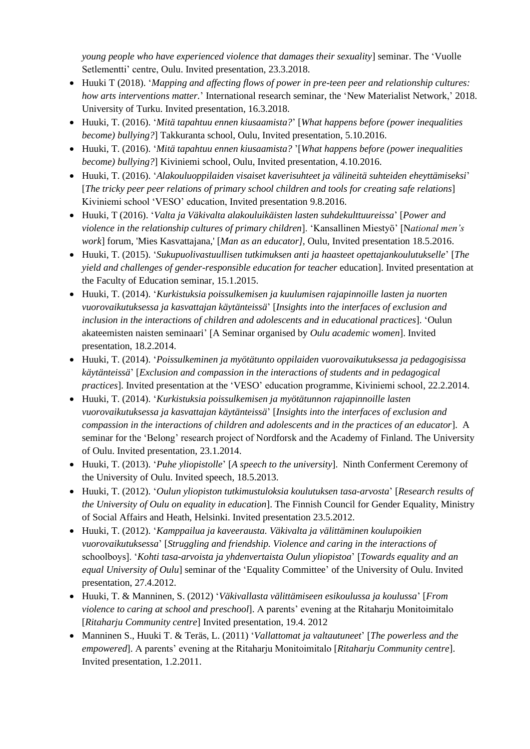*young people who have experienced violence that damages their sexuality*] seminar. The 'Vuolle Setlementti' centre, Oulu. Invited presentation, 23.3.2018.

- Huuki T (2018). '*Mapping and affecting flows of power in pre-teen peer and relationship cultures: how arts interventions matter.*' International research seminar, the 'New Materialist Network,' 2018. University of Turku. Invited presentation, 16.3.2018.
- Huuki, T. (2016). '*Mitä tapahtuu ennen kiusaamista?*' [*What happens before (power inequalities become) bullying?*] Takkuranta school, Oulu, Invited presentation, 5.10.2016.
- Huuki, T. (2016). '*Mitä tapahtuu ennen kiusaamista?* '[*What happens before (power inequalities become) bullying?*] Kiviniemi school, Oulu, Invited presentation, 4.10.2016.
- Huuki, T. (2016). '*Alakouluoppilaiden visaiset kaverisuhteet ja välineitä suhteiden eheyttämiseksi*' [*The tricky peer peer relations of primary school children and tools for creating safe relations*] Kiviniemi school 'VESO' education, Invited presentation 9.8.2016.
- Huuki, T (2016). '*Valta ja Väkivalta alakouluikäisten lasten suhdekulttuureissa*' [*Power and violence in the relationship cultures of primary children*]. 'Kansallinen Miestyö' [N*ational men's work*] forum, 'Mies Kasvattajana,' [*Man as an educator],* Oulu, Invited presentation 18.5.2016.
- Huuki, T. (2015). '*Sukupuolivastuullisen tutkimuksen anti ja haasteet opettajankoulutukselle*' [*The yield and challenges of gender-responsible education for teacher* education]. Invited presentation at the Faculty of Education seminar, 15.1.2015.
- Huuki, T. (2014). '*Kurkistuksia poissulkemisen ja kuulumisen rajapinnoille lasten ja nuorten vuorovaikutuksessa ja kasvattajan käytänteissä*' [*Insights into the interfaces of exclusion and inclusion in the interactions of children and adolescents and in educational practices*]. 'Oulun akateemisten naisten seminaari' [A Seminar organised by *Oulu academic women*]. Invited presentation, 18.2.2014.
- Huuki, T. (2014). '*Poissulkeminen ja myötätunto oppilaiden vuorovaikutuksessa ja pedagogisissa käytänteissä*' [*Exclusion and compassion in the interactions of students and in pedagogical practices*]. Invited presentation at the 'VESO' education programme, Kiviniemi school, 22.2.2014.
- Huuki, T. (2014). '*Kurkistuksia poissulkemisen ja myötätunnon rajapinnoille lasten vuorovaikutuksessa ja kasvattajan käytänteissä*' [*Insights into the interfaces of exclusion and compassion in the interactions of children and adolescents and in the practices of an educator*]. A seminar for the 'Belong' research project of Nordforsk and the Academy of Finland. The University of Oulu. Invited presentation, 23.1.2014.
- Huuki, T. (2013). '*Puhe yliopistolle*' [*A speech to the university*]. Ninth Conferment Ceremony of the University of Oulu. Invited speech, 18.5.2013.
- Huuki, T. (2012). '*Oulun yliopiston tutkimustuloksia koulutuksen tasa-arvosta*' [*Research results of the University of Oulu on equality in education*]. The Finnish Council for Gender Equality, Ministry of Social Affairs and Heath, Helsinki. Invited presentation 23.5.2012.
- Huuki, T. (2012). '*Kamppailua ja kaveerausta. Väkivalta ja välittäminen koulupoikien vuorovaikutuksessa*' [*Struggling and friendship. Violence and caring in the interactions of*  schoolboys]. '*Kohti tasa-arvoista ja yhdenvertaista Oulun yliopistoa*' [*Towards equality and an equal University of Oulu*] seminar of the 'Equality Committee' of the University of Oulu. Invited presentation, 27.4.2012.
- Huuki, T. & Manninen, S. (2012) '*Väkivallasta välittämiseen esikoulussa ja koulussa*' [*From violence to caring at school and preschool*]. A parents' evening at the Ritaharju Monitoimitalo [*Ritaharju Community centre*] Invited presentation, 19.4. 2012
- Manninen S., Huuki T. & Teräs, L. (2011) '*Vallattomat ja valtautuneet*' [*The powerless and the empowered*]. A parents' evening at the Ritaharju Monitoimitalo [*Ritaharju Community centre*]. Invited presentation, 1.2.2011.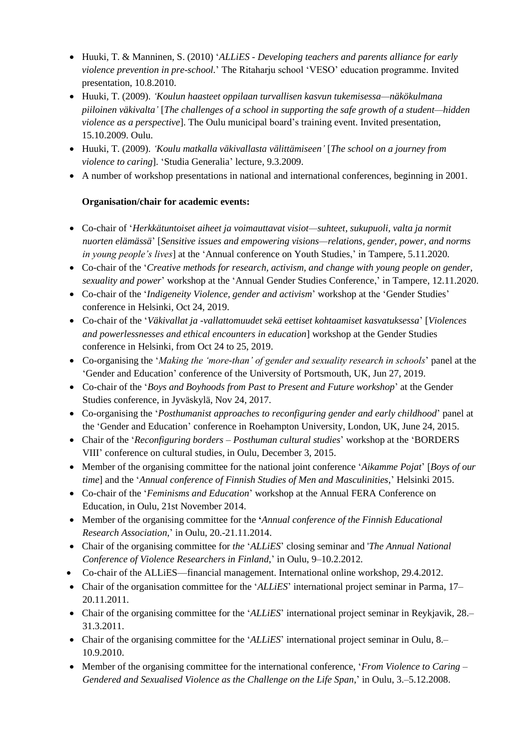- Huuki, T. & Manninen, S. (2010) '*ALLiES - Developing teachers and parents alliance for early violence prevention in pre-school.*' The Ritaharju school 'VESO' education programme. Invited presentation, 10.8.2010.
- Huuki, T. (2009). *'Koulun haasteet oppilaan turvallisen kasvun tukemisessa—näkökulmana piiloinen väkivalta'* [*The challenges of a school in supporting the safe growth of a student—hidden violence as a perspective*]. The Oulu municipal board's training event. Invited presentation, 15.10.2009. Oulu.
- Huuki, T. (2009). *'Koulu matkalla väkivallasta välittämiseen'* [*The school on a journey from violence to caring*]. 'Studia Generalia' lecture, 9.3.2009.
- A number of workshop presentations in national and international conferences, beginning in 2001.

# **Organisation/chair for academic events:**

- Co-chair of '*Herkkätuntoiset aiheet ja voimauttavat visiot—suhteet, sukupuoli, valta ja normit nuorten elämässä*' [*Sensitive issues and empowering visions—relations, gender, power, and norms in young people's lives*] at the 'Annual conference on Youth Studies,' in Tampere, 5.11.2020.
- Co-chair of the '*Creative methods for research, activism, and change with young people on gender, sexuality and power*' workshop at the 'Annual Gender Studies Conference,' in Tampere, 12.11.2020.
- Co-chair of the '*Indigeneity Violence, gender and activism*' workshop at the 'Gender Studies' conference in Helsinki, Oct 24, 2019.
- Co-chair of the '*Väkivallat ja -vallattomuudet sekä eettiset kohtaamiset kasvatuksessa*' [*Violences and powerlessnesses and ethical encounters in education*] workshop at the Gender Studies conference in Helsinki, from Oct 24 to 25, 2019.
- Co-organising the '*Making the 'more-than' of gender and sexuality research in schools*' panel at the 'Gender and Education' conference of the University of Portsmouth, UK, Jun 27, 2019.
- Co-chair of the '*Boys and Boyhoods from Past to Present and Future workshop*' at the Gender Studies conference, in Jyväskylä, Nov 24, 2017.
- Co-organising the '*Posthumanist approaches to reconfiguring gender and early childhood*' panel at the 'Gender and Education' conference in Roehampton University, London, UK, June 24, 2015.
- Chair of the '*Reconfiguring borders – Posthuman cultural studies*' workshop at the 'BORDERS VIII' conference on cultural studies, in Oulu, December 3, 2015.
- Member of the organising committee for the national joint conference '*Aikamme Pojat*' [*Boys of our time*] and the '*Annual conference of Finnish Studies of Men and Masculinities*,' Helsinki 2015.
- Co-chair of the '*Feminisms and Education*' workshop at the Annual FERA Conference on Education, in Oulu, 21st November 2014.
- Member of the organising committee for the **'***Annual conference of the Finnish Educational Research Association*,' in Oulu, 20.-21.11.2014.
- Chair of the organising committee for *the* '*ALLiES*' closing seminar and '*The Annual National Conference of Violence Researchers in Finland*,' in Oulu, 9–10.2.2012.
- Co-chair of the ALLiES—financial management. International online workshop, 29.4.2012.
- Chair of the organisation committee for the '*ALLiES*' international project seminar in Parma, 17– 20.11.2011.
- Chair of the organising committee for the '*ALLiES*' international project seminar in Reykjavik, 28.– 31.3.2011.
- Chair of the organising committee for the '*ALLiES*' international project seminar in Oulu, 8.– 10.9.2010.
- Member of the organising committee for the international conference, '*From Violence to Caring – Gendered and Sexualised Violence as the Challenge on the Life Span*,' in Oulu, 3.–5.12.2008.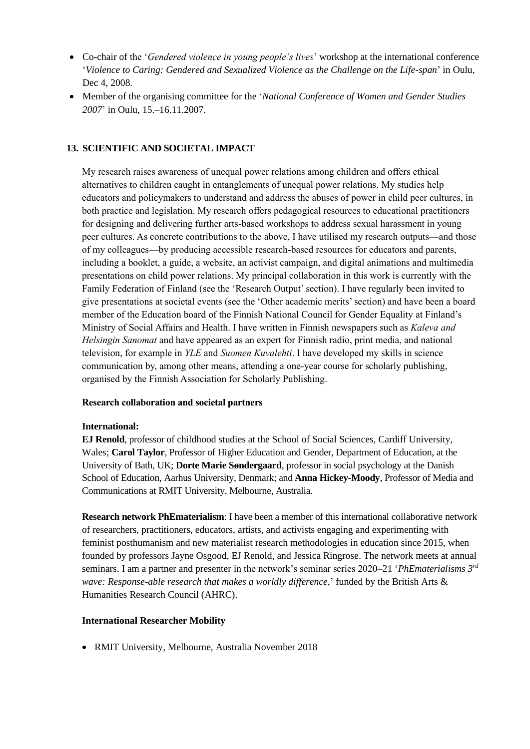- Co-chair of the '*Gendered violence in young people's lives*' workshop at the international conference '*Violence to Caring: Gendered and Sexualized Violence as the Challenge on the Life-span*' in Oulu, Dec 4, 2008.
- Member of the organising committee for the '*National Conference of Women and Gender Studies 2007*' in Oulu, 15.–16.11.2007.

### **13. SCIENTIFIC AND SOCIETAL IMPACT**

My research raises awareness of unequal power relations among children and offers ethical alternatives to children caught in entanglements of unequal power relations. My studies help educators and policymakers to understand and address the abuses of power in child peer cultures, in both practice and legislation. My research offers pedagogical resources to educational practitioners for designing and delivering further arts-based workshops to address sexual harassment in young peer cultures. As concrete contributions to the above, I have utilised my research outputs—and those of my colleagues—by producing accessible research-based resources for educators and parents, including a booklet, a guide, a website, an activist campaign, and digital animations and multimedia presentations on child power relations. My principal collaboration in this work is currently with the Family Federation of Finland (see the 'Research Output' section). I have regularly been invited to give presentations at societal events (see the 'Other academic merits' section) and have been a board member of the Education board of the Finnish National Council for Gender Equality at Finland's Ministry of Social Affairs and Health. I have written in Finnish newspapers such as *Kaleva and Helsingin Sanomat* and have appeared as an expert for Finnish radio, print media, and national television, for example in *YLE* and *Suomen Kuvalehti*. I have developed my skills in science communication by, among other means, attending a one-year course for scholarly publishing, organised by the Finnish Association for Scholarly Publishing.

### **Research collaboration and societal partners**

#### **International:**

**EJ Renold***,* professor of childhood studies at the School of Social Sciences, Cardiff University, Wales; **Carol Taylor***,* Professor of Higher Education and Gender, Department of Education, at the University of Bath, UK; **Dorte Marie Søndergaard***,* professor in social psychology at the Danish School of Education, Aarhus University, Denmark; and **Anna Hickey-Moody**, Professor of Media and Communications at RMIT University, Melbourne, Australia.

**Research network PhEmaterialism**: I have been a member of this international collaborative network of researchers, practitioners, educators, artists, and activists engaging and experimenting with feminist posthumanism and new materialist research methodologies in education since 2015, when founded by professors Jayne Osgood, EJ Renold, and Jessica Ringrose. The network meets at annual seminars. I am a partner and presenter in the network's seminar series 2020–21 '*PhEmaterialisms 3rd wave: Response-able research that makes a worldly difference*,' funded by the British Arts & Humanities Research Council (AHRC).

#### **International Researcher Mobility**

• RMIT University, Melbourne, Australia November 2018